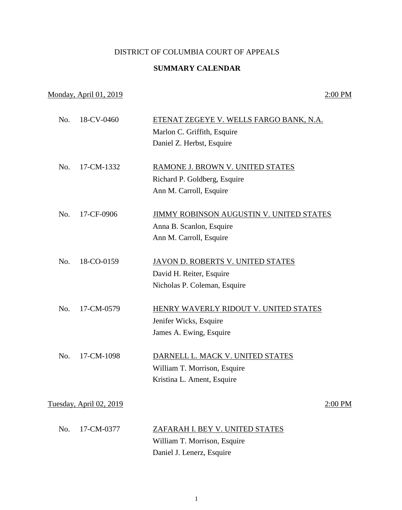## DISTRICT OF COLUMBIA COURT OF APPEALS

## **SUMMARY CALENDAR**

## Monday, April 01, 2019 2:00 PM

| No. | 18-CV-0460              | ETENAT ZEGEYE V. WELLS FARGO BANK, N.A.         |
|-----|-------------------------|-------------------------------------------------|
|     |                         | Marlon C. Griffith, Esquire                     |
|     |                         | Daniel Z. Herbst, Esquire                       |
| No. | 17-CM-1332              | RAMONE J. BROWN V. UNITED STATES                |
|     |                         | Richard P. Goldberg, Esquire                    |
|     |                         | Ann M. Carroll, Esquire                         |
| No. | 17-CF-0906              | <b>JIMMY ROBINSON AUGUSTIN V. UNITED STATES</b> |
|     |                         | Anna B. Scanlon, Esquire                        |
|     |                         | Ann M. Carroll, Esquire                         |
| No. | 18-CO-0159              | JAVON D. ROBERTS V. UNITED STATES               |
|     |                         | David H. Reiter, Esquire                        |
|     |                         | Nicholas P. Coleman, Esquire                    |
| No. | 17-CM-0579              | HENRY WAVERLY RIDOUT V. UNITED STATES           |
|     |                         | Jenifer Wicks, Esquire                          |
|     |                         | James A. Ewing, Esquire                         |
| No. | 17-CM-1098              | DARNELL L. MACK V. UNITED STATES                |
|     |                         | William T. Morrison, Esquire                    |
|     |                         | Kristina L. Ament, Esquire                      |
|     | Tuesday, April 02, 2019 | 2:00 PM                                         |
|     |                         |                                                 |
| No. | 17-CM-0377              | ZAFARAH I. BEY V. UNITED STATES                 |
|     |                         | William T. Morrison, Esquire                    |
|     |                         | Daniel J. Lenerz, Esquire                       |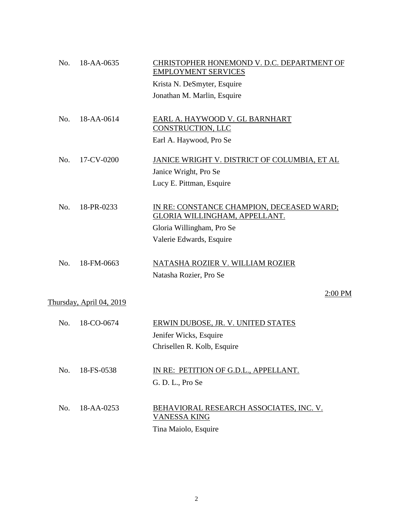| No. | 18-AA-0635               | CHRISTOPHER HONEMOND V. D.C. DEPARTMENT OF<br><b>EMPLOYMENT SERVICES</b>   |
|-----|--------------------------|----------------------------------------------------------------------------|
|     |                          | Krista N. DeSmyter, Esquire                                                |
|     |                          | Jonathan M. Marlin, Esquire                                                |
| No. | 18-AA-0614               | EARL A. HAYWOOD V. GL BARNHART<br>CONSTRUCTION, LLC                        |
|     |                          | Earl A. Haywood, Pro Se                                                    |
| No. | 17-CV-0200               | JANICE WRIGHT V. DISTRICT OF COLUMBIA, ET AL                               |
|     |                          | Janice Wright, Pro Se                                                      |
|     |                          | Lucy E. Pittman, Esquire                                                   |
| No. | 18-PR-0233               | IN RE: CONSTANCE CHAMPION, DECEASED WARD;<br>GLORIA WILLINGHAM, APPELLANT. |
|     |                          | Gloria Willingham, Pro Se                                                  |
|     |                          | Valerie Edwards, Esquire                                                   |
| No. | 18-FM-0663               | NATASHA ROZIER V. WILLIAM ROZIER                                           |
|     |                          | Natasha Rozier, Pro Se                                                     |
|     |                          | 2:00 PM                                                                    |
|     | Thursday, April 04, 2019 |                                                                            |
| No. | 18-CO-0674               | ERWIN DUBOSE, JR. V. UNITED STATES                                         |
|     |                          | Jenifer Wicks, Esquire                                                     |
|     |                          | Chrisellen R. Kolb, Esquire                                                |
| No. | 18-FS-0538               | IN RE: PETITION OF G.D.L., APPELLANT.                                      |
|     |                          | G. D. L., Pro Se                                                           |
| No. | 18-AA-0253               | <u>BEHAVIORAL RESEARCH ASSOCIATES, INC. V.</u><br><b>VANESSA KING</b>      |
|     |                          | Tina Maiolo, Esquire                                                       |
|     |                          |                                                                            |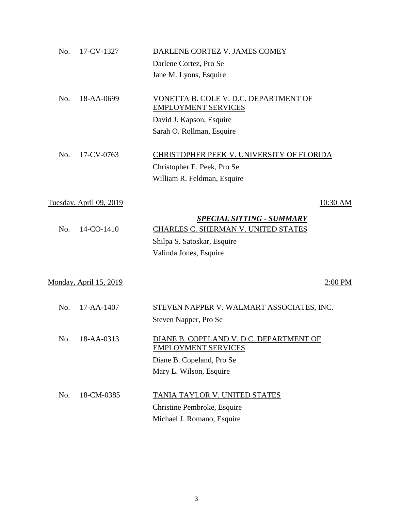| No. | 17-CV-1327                    | DARLENE CORTEZ V. JAMES COMEY                    |
|-----|-------------------------------|--------------------------------------------------|
|     |                               | Darlene Cortez, Pro Se                           |
|     |                               | Jane M. Lyons, Esquire                           |
|     |                               |                                                  |
| No. | 18-AA-0699                    | VONETTA B. COLE V. D.C. DEPARTMENT OF            |
|     |                               | <b>EMPLOYMENT SERVICES</b>                       |
|     |                               | David J. Kapson, Esquire                         |
|     |                               | Sarah O. Rollman, Esquire                        |
| No. | 17-CV-0763                    | <b>CHRISTOPHER PEEK V. UNIVERSITY OF FLORIDA</b> |
|     |                               | Christopher E. Peek, Pro Se                      |
|     |                               | William R. Feldman, Esquire                      |
|     |                               |                                                  |
|     | Tuesday, April 09, 2019       | 10:30 AM                                         |
|     |                               | <b>SPECIAL SITTING - SUMMARY</b>                 |
| No. | 14-CO-1410                    | CHARLES C. SHERMAN V. UNITED STATES              |
|     |                               | Shilpa S. Satoskar, Esquire                      |
|     |                               | Valinda Jones, Esquire                           |
|     |                               |                                                  |
|     | <u>Monday, April 15, 2019</u> | 2:00 PM                                          |
|     |                               |                                                  |
| No. | 17-AA-1407                    | STEVEN NAPPER V. WALMART ASSOCIATES, INC.        |
|     |                               | Steven Napper, Pro Se                            |
| No. | 18-AA-0313                    | DIANE B. COPELAND V. D.C. DEPARTMENT OF          |
|     |                               | <b>EMPLOYMENT SERVICES</b>                       |
|     |                               | Diane B. Copeland, Pro Se                        |
|     |                               | Mary L. Wilson, Esquire                          |
|     |                               |                                                  |
| No. | 18-CM-0385                    | TANIA TAYLOR V. UNITED STATES                    |
|     |                               | Christine Pembroke, Esquire                      |
|     |                               | Michael J. Romano, Esquire                       |